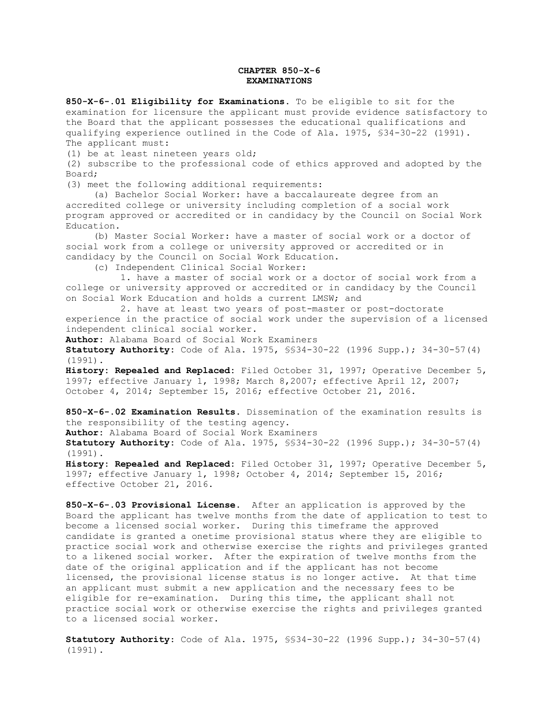## **CHAPTER 850-X-6 EXAMINATIONS**

**850-X-6-.01 Eligibility for Examinations.** To be eligible to sit for the examination for licensure the applicant must provide evidence satisfactory to the Board that the applicant possesses the educational qualifications and qualifying experience outlined in the Code of Ala. 1975, §34-30-22 (1991). The applicant must:

(1) be at least nineteen years old;

(2) subscribe to the professional code of ethics approved and adopted by the Board;

(3) meet the following additional requirements:

 (a) Bachelor Social Worker: have a baccalaureate degree from an accredited college or university including completion of a social work program approved or accredited or in candidacy by the Council on Social Work Education.

 (b) Master Social Worker: have a master of social work or a doctor of social work from a college or university approved or accredited or in candidacy by the Council on Social Work Education.

(c) Independent Clinical Social Worker:

 1. have a master of social work or a doctor of social work from a college or university approved or accredited or in candidacy by the Council on Social Work Education and holds a current LMSW; and

 2. have at least two years of post-master or post-doctorate experience in the practice of social work under the supervision of a licensed independent clinical social worker.

**Author:** Alabama Board of Social Work Examiners

**Statutory Authority:** Code of Ala. 1975, §§34-30-22 (1996 Supp.); 34-30-57(4) (1991).

**History: Repealed and Replaced:** Filed October 31, 1997; Operative December 5, 1997; effective January 1, 1998; March 8,2007; effective April 12, 2007; October 4, 2014; September 15, 2016; effective October 21, 2016.

**850-X-6-.02 Examination Results**. Dissemination of the examination results is the responsibility of the testing agency.

**Author:** Alabama Board of Social Work Examiners **Statutory Authority:** Code of Ala. 1975, §§34-30-22 (1996 Supp.); 34-30-57(4) (1991).

**History: Repealed and Replaced:** Filed October 31, 1997; Operative December 5, 1997; effective January 1, 1998; October 4, 2014; September 15, 2016; effective October 21, 2016.

**850-X-6-.03 Provisional License**. After an application is approved by the Board the applicant has twelve months from the date of application to test to become a licensed social worker. During this timeframe the approved candidate is granted a onetime provisional status where they are eligible to practice social work and otherwise exercise the rights and privileges granted to a likened social worker. After the expiration of twelve months from the date of the original application and if the applicant has not become licensed, the provisional license status is no longer active. At that time an applicant must submit a new application and the necessary fees to be eligible for re-examination. During this time, the applicant shall not practice social work or otherwise exercise the rights and privileges granted to a licensed social worker.

**Statutory Authority**: Code of Ala. 1975, §§34-30-22 (1996 Supp.); 34-30-57(4) (1991).